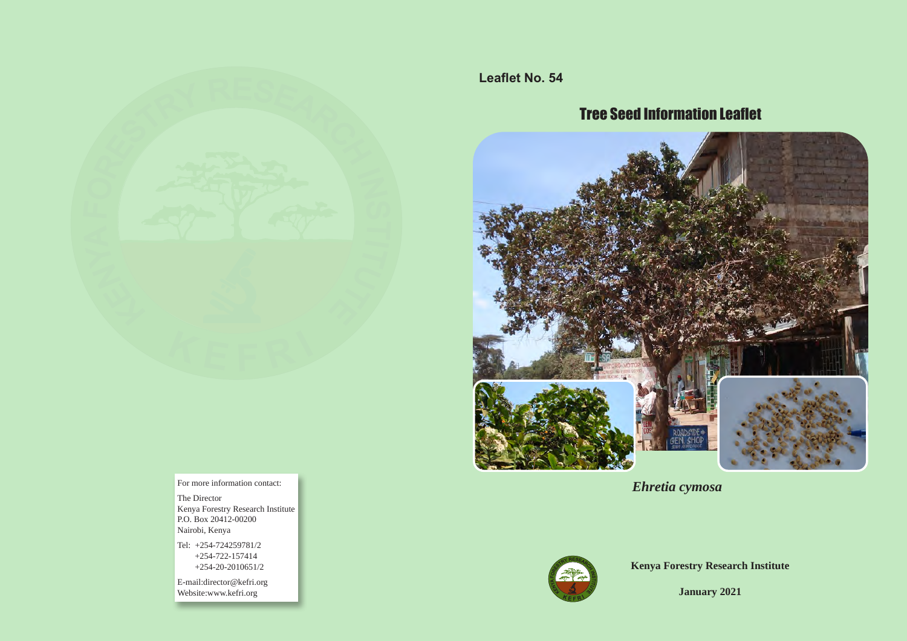

**Leaflet No. 54**

# Tree Seed Information Leaflet



**Ehretia cymosa** For more information contact:



**Kenya Forestry Research Institute**

**January 2021**

The Director Kenya Forestry Research Institute P.O. Box 20412-00200 Nairobi, Kenya

Tel: +254-724259781/2 +254-722-157414 +254-20-2010651/2

E-mail:director@kefri.org Website:www.kefri.org